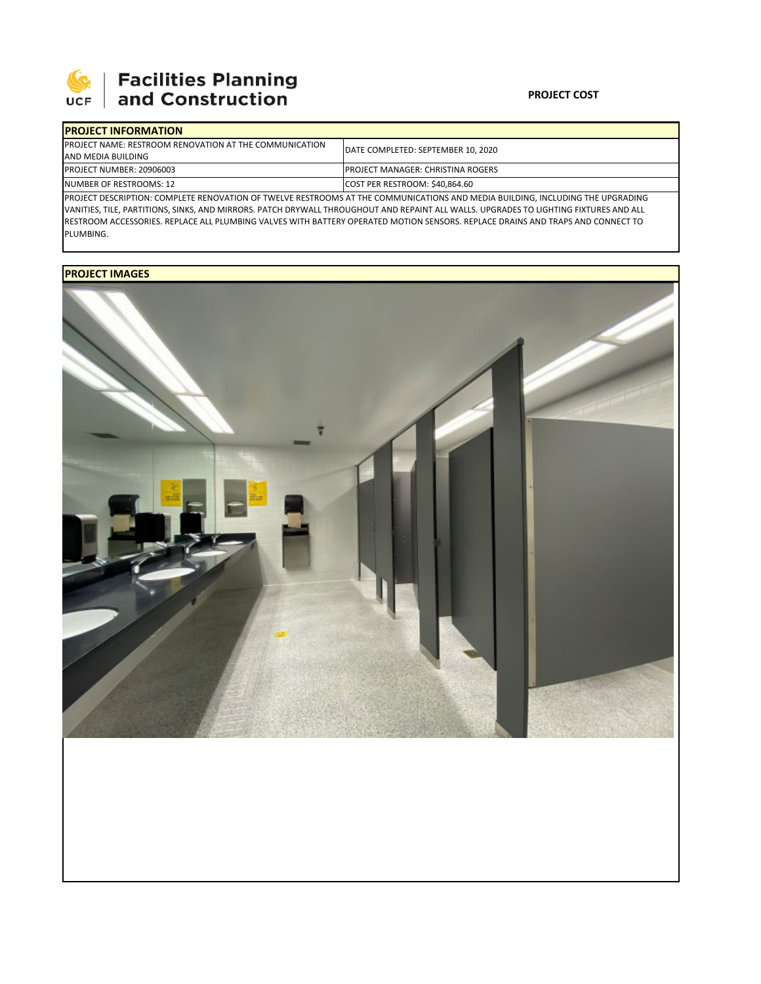

# **SEPTE AND Facilities Planning**<br>UCF and Construction

### **PROJECT COST**

| <b>IPROJECT INFORMATION</b>                                                                                                    |                                          |  |  |  |
|--------------------------------------------------------------------------------------------------------------------------------|------------------------------------------|--|--|--|
| <b>IPROJECT NAME: RESTROOM RENOVATION AT THE COMMUNICATION</b>                                                                 | DATE COMPLETED: SEPTEMBER 10. 2020       |  |  |  |
| AND MEDIA BUILDING                                                                                                             |                                          |  |  |  |
| <b>PROJECT NUMBER: 20906003</b>                                                                                                | <b>PROJECT MANAGER: CHRISTINA ROGERS</b> |  |  |  |
| NUMBER OF RESTROOMS: 12                                                                                                        | COST PER RESTROOM: \$40,864.60           |  |  |  |
| PROJECT DESCRIPTION: COMPLETE RENOVATION OF TWELVE RESTROOMS AT THE COMMUNICATIONS AND MEDIA BUILDING, INCLUDING THE UPGRADING |                                          |  |  |  |

VANITIES, TILE, PARTITIONS, SINKS, AND MIRRORS. PATCH DRYWALL THROUGHOUT AND REPAINT ALL WALLS. UPGRADES TO LIGHTING FIXTURES AND ALL RESTROOM ACCESSORIES. REPLACE ALL PLUMBING VALVES WITH BATTERY OPERATED MOTION SENSORS. REPLACE DRAINS AND TRAPS AND CONNECT TO PLUMBING.

## **PROJECT IMAGES**